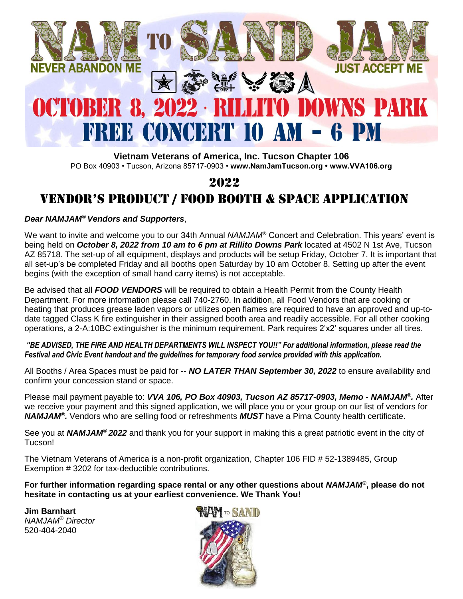

**Vietnam Veterans of America, Inc. Tucson Chapter 106** PO Box 40903 • Tucson, Arizona 85717-0903 • **[www.NamJamTucson.org](http://www.namjamtucson.org/) • www.VVA106.org**

# 2022 Vendor's Product / Food Booth & sPace aPPlication

*Dear NAMJAM® Vendors and Supporters*,

We want to invite and welcome you to our 34th Annual *NAMJAM®* Concert and Celebration. This years' event is being held on *October 8, 2022 from 10 am to 6 pm at Rillito Downs Park* located at 4502 N 1st Ave, Tucson AZ 85718. The set-up of all equipment, displays and products will be setup Friday, October 7. It is important that all set-up's be completed Friday and all booths open Saturday by 10 am October 8. Setting up after the event begins (with the exception of small hand carry items) is not acceptable.

Be advised that all *FOOD VENDORS* will be required to obtain a Health Permit from the County Health Department. For more information please call 740-2760. In addition, all Food Vendors that are cooking or heating that produces grease laden vapors or utilizes open flames are required to have an approved and up-todate tagged Class K fire extinguisher in their assigned booth area and readily accessible. For all other cooking operations, a 2-A:10BC extinguisher is the minimum requirement. Park requires 2'x2' squares under all tires.

*"BE ADVISED, THE FIRE AND HEALTH DEPARTMENTS WILL INSPECT YOU!!" For additional information, please read the Festival and Civic Event handout and the guidelines for temporary food service provided with this application.*

All Booths / Area Spaces must be paid for -- *NO LATER THAN September 30, 2022* to ensure availability and confirm your concession stand or space.

Please mail payment payable to: *VVA 106, PO Box 40903, Tucson AZ 85717-0903, Memo - NAMJAM® .* After we receive your payment and this signed application, we will place you or your group on our list of vendors for *NAMJAM® .* Vendors who are selling food or refreshments *MUST* have a Pima County health certificate.

See you at *NAMJAM® 2022* and thank you for your support in making this a great patriotic event in the city of Tucson!

The Vietnam Veterans of America is a non-profit organization, Chapter 106 FID # 52-1389485, Group Exemption # 3202 for tax-deductible contributions.

**For further information regarding space rental or any other questions about** *NAMJAM®* **, please do not hesitate in contacting us at your earliest convenience. We Thank You!** 

**Jim Barnhart** *NAMJAM® Director* 520-404-2040